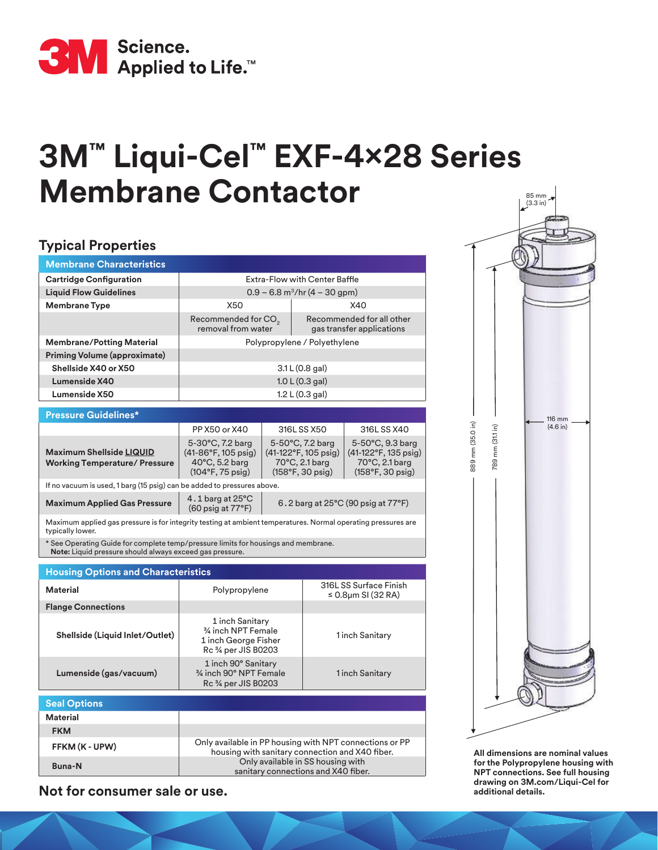

## **3M™ Liqui-Cel™ EXF-4x28 Series Membrane Contactor**

## **Typical Properties**

| <b>Membrane Characteristics</b>                                                                                                                |                                                                                                                               |  |                                                                                                           |                                                                                          |  |  |  |  |  |
|------------------------------------------------------------------------------------------------------------------------------------------------|-------------------------------------------------------------------------------------------------------------------------------|--|-----------------------------------------------------------------------------------------------------------|------------------------------------------------------------------------------------------|--|--|--|--|--|
| <b>Cartridge Configuration</b>                                                                                                                 | Extra-Flow with Center Baffle                                                                                                 |  |                                                                                                           |                                                                                          |  |  |  |  |  |
| <b>Liquid Flow Guidelines</b>                                                                                                                  | $0.9 - 6.8$ m <sup>3</sup> /hr (4 – 30 gpm)                                                                                   |  |                                                                                                           |                                                                                          |  |  |  |  |  |
| <b>Membrane Type</b>                                                                                                                           | X50                                                                                                                           |  |                                                                                                           | X40                                                                                      |  |  |  |  |  |
|                                                                                                                                                | Recommended for CO <sub>2</sub><br>removal from water                                                                         |  |                                                                                                           | Recommended for all other<br>gas transfer applications                                   |  |  |  |  |  |
| <b>Membrane/Potting Material</b>                                                                                                               |                                                                                                                               |  |                                                                                                           | Polypropylene / Polyethylene                                                             |  |  |  |  |  |
| Priming Volume (approximate)                                                                                                                   |                                                                                                                               |  |                                                                                                           |                                                                                          |  |  |  |  |  |
| Shellside X40 or X50                                                                                                                           | 3.1 L (0.8 gal)                                                                                                               |  |                                                                                                           |                                                                                          |  |  |  |  |  |
| Lumenside X40                                                                                                                                  | 1.0 L (0.3 gal)                                                                                                               |  |                                                                                                           |                                                                                          |  |  |  |  |  |
| Lumenside X50                                                                                                                                  | 1.2 L $(0.3 gal)$                                                                                                             |  |                                                                                                           |                                                                                          |  |  |  |  |  |
| <b>Pressure Guidelines*</b>                                                                                                                    |                                                                                                                               |  |                                                                                                           |                                                                                          |  |  |  |  |  |
|                                                                                                                                                |                                                                                                                               |  |                                                                                                           |                                                                                          |  |  |  |  |  |
|                                                                                                                                                | PP X50 or X40                                                                                                                 |  | 316L SS X50                                                                                               | 316L SS X40                                                                              |  |  |  |  |  |
| <b>Maximum Shellside LIQUID</b><br><b>Working Temperature/ Pressure</b>                                                                        | 5-30°C, 7.2 barg<br>$(41-86°F, 105 \text{ psig})$<br>$40^{\circ}$ C, 5.2 barg<br>$(104^{\circ}F, 75 \text{ psig})$            |  | 5-50°C, 7.2 barg<br>$(41-122^{\circ}F, 105 \text{ psig})$<br>70°C, 2.1 barg<br>$(158°F, 30 \text{ psig})$ | 5-50°C, 9.3 barg<br>(41-122°F, 135 psig)<br>70°C, 2.1 barg<br>$(158°F, 30 \text{ psig})$ |  |  |  |  |  |
| If no vacuum is used, 1 barg (15 psig) can be added to pressures above.                                                                        |                                                                                                                               |  |                                                                                                           |                                                                                          |  |  |  |  |  |
| <b>Maximum Applied Gas Pressure</b>                                                                                                            | 4.1 barg at $25^{\circ}$ C<br>$6.2$ barg at $25^{\circ}$ C (90 psig at $77^{\circ}$ F)<br>$(60 \text{ psig at } 77^{\circ}F)$ |  |                                                                                                           |                                                                                          |  |  |  |  |  |
| Maximum applied gas pressure is for integrity testing at ambient temperatures. Normal operating pressures are<br>typically lower.              |                                                                                                                               |  |                                                                                                           |                                                                                          |  |  |  |  |  |
| * See Operating Guide for complete temp/pressure limits for housings and membrane.<br>Note: Liquid pressure should always exceed gas pressure. |                                                                                                                               |  |                                                                                                           |                                                                                          |  |  |  |  |  |
|                                                                                                                                                |                                                                                                                               |  |                                                                                                           |                                                                                          |  |  |  |  |  |
| <b>Housing Options and Characteristics</b>                                                                                                     |                                                                                                                               |  |                                                                                                           | 316LSS Surface Finish                                                                    |  |  |  |  |  |
| <b>Material</b>                                                                                                                                | Polypropylene                                                                                                                 |  |                                                                                                           | $\leq$ 0.8µm SI (32 RA)                                                                  |  |  |  |  |  |
| <b>Flange Connections</b>                                                                                                                      |                                                                                                                               |  |                                                                                                           |                                                                                          |  |  |  |  |  |
| Shellside (Liquid Inlet/Outlet)                                                                                                                | 1 inch Sanitary<br>3⁄4 inch NPT Female<br>1 inch George Fisher<br>Rc 34 per JIS B0203                                         |  |                                                                                                           | 1 inch Sanitary                                                                          |  |  |  |  |  |
| Lumenside (gas/vacuum)                                                                                                                         | 1 inch 90° Sanitary<br>3/4 inch 90° NPT Female                                                                                |  |                                                                                                           | 1 inch Sanitary                                                                          |  |  |  |  |  |

| <b>Seal Options</b> |                                                                                                            |  |  |  |  |  |  |
|---------------------|------------------------------------------------------------------------------------------------------------|--|--|--|--|--|--|
| <b>Material</b>     |                                                                                                            |  |  |  |  |  |  |
| <b>FKM</b>          |                                                                                                            |  |  |  |  |  |  |
| FFKM (K - UPW)      | Only available in PP housing with NPT connections or PP<br>housing with sanitary connection and X40 fiber. |  |  |  |  |  |  |
| <b>Buna-N</b>       | Only available in SS housing with<br>sanitary connections and X40 fiber.                                   |  |  |  |  |  |  |
|                     |                                                                                                            |  |  |  |  |  |  |

Rc ¾ per JIS B0203

**Not for consumer sale or use.**



**All dimensions are nominal values for the Polypropylene housing with NPT connections. See full housing drawing on 3M.com/Liqui-Cel for additional details.**